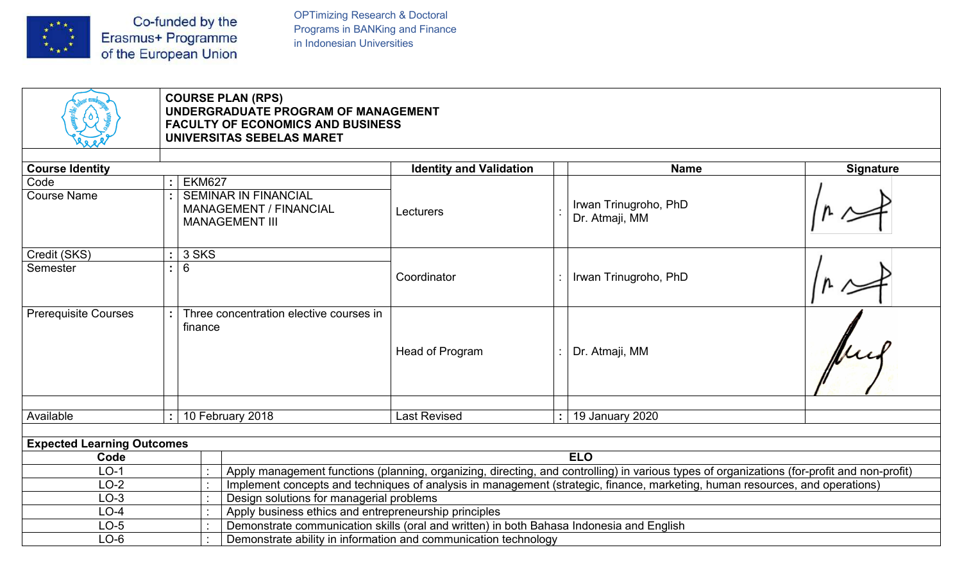

OPTimizing Research & Doctoral<br>Programs in BANKing and Finance<br>in Indonesian Universities OPTimizing Research & Doctoral<br>Programs in BANKing and Finance<br>in Indonesian Universities

|                                                       |       |                               | <b>COURSE PLAN (RPS)</b><br>UNDERGRADUATE PROGRAM OF MANAGEMENT<br><b>FACULTY OF ECONOMICS AND BUSINESS</b><br>UNIVERSITAS SEBELAS MARET |                                                                                                                                                   |                                                                                                                                             |                  |
|-------------------------------------------------------|-------|-------------------------------|------------------------------------------------------------------------------------------------------------------------------------------|---------------------------------------------------------------------------------------------------------------------------------------------------|---------------------------------------------------------------------------------------------------------------------------------------------|------------------|
| <b>Course Identity</b>                                |       |                               |                                                                                                                                          | <b>Identity and Validation</b>                                                                                                                    | <b>Name</b>                                                                                                                                 | <b>Signature</b> |
| Code                                                  |       | <b>EKM627</b>                 |                                                                                                                                          |                                                                                                                                                   |                                                                                                                                             |                  |
| <b>Course Name</b>                                    |       |                               | <b>SEMINAR IN FINANCIAL</b><br>MANAGEMENT / FINANCIAL<br><b>MANAGEMENT III</b>                                                           | Lecturers                                                                                                                                         | Irwan Trinugroho, PhD<br>Dr. Atmaji, MM                                                                                                     |                  |
| Credit (SKS)                                          | 3 SKS |                               |                                                                                                                                          |                                                                                                                                                   |                                                                                                                                             |                  |
| Semester                                              |       | $6\overline{6}$               |                                                                                                                                          | Coordinator                                                                                                                                       | Irwan Trinugroho, PhD                                                                                                                       |                  |
| <b>Prerequisite Courses</b>                           |       | finance                       | Three concentration elective courses in                                                                                                  | Head of Program                                                                                                                                   | Dr. Atmaji, MM                                                                                                                              |                  |
|                                                       |       | Available<br>10 February 2018 |                                                                                                                                          | <b>Last Revised</b>                                                                                                                               | 19 January 2020<br>$\mathbf{r}$                                                                                                             |                  |
|                                                       |       |                               |                                                                                                                                          |                                                                                                                                                   |                                                                                                                                             |                  |
|                                                       |       |                               |                                                                                                                                          |                                                                                                                                                   |                                                                                                                                             |                  |
| Code                                                  |       |                               |                                                                                                                                          |                                                                                                                                                   | <b>ELO</b>                                                                                                                                  |                  |
| $LO-1$                                                |       |                               |                                                                                                                                          |                                                                                                                                                   | Apply management functions (planning, organizing, directing, and controlling) in various types of organizations (for-profit and non-profit) |                  |
| $LO-2$                                                |       |                               |                                                                                                                                          |                                                                                                                                                   | Implement concepts and techniques of analysis in management (strategic, finance, marketing, human resources, and operations)                |                  |
| $LO-3$                                                |       |                               | Design solutions for managerial problems                                                                                                 |                                                                                                                                                   |                                                                                                                                             |                  |
| <b>Expected Learning Outcomes</b><br>$LO-4$<br>$LO-5$ |       |                               |                                                                                                                                          | Apply business ethics and entrepreneurship principles<br>Demonstrate communication skills (oral and written) in both Bahasa Indonesia and English |                                                                                                                                             |                  |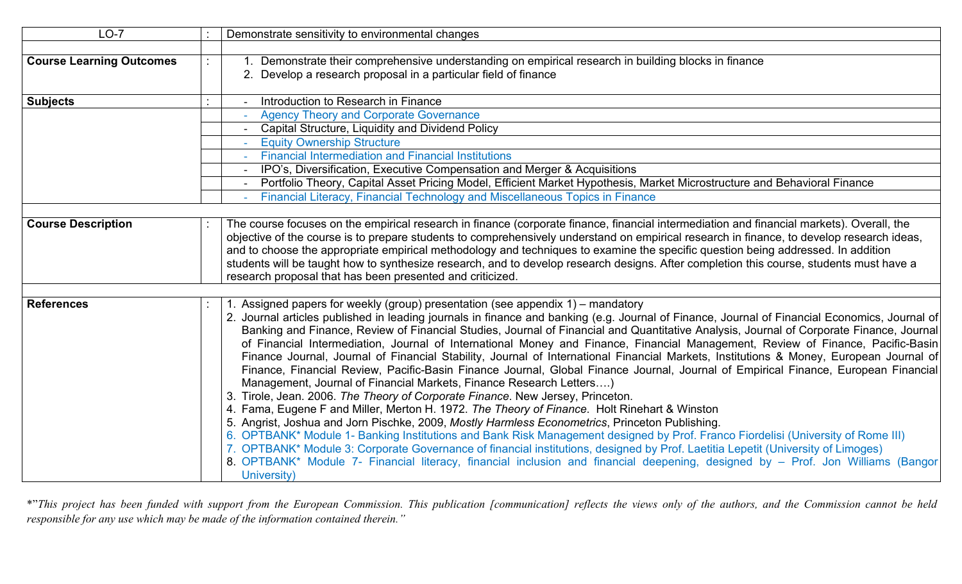| $LO-7$                          | Demonstrate sensitivity to environmental changes                                                                                                                                                                                                                                                                                                                                                                                                                                                                                                                                                                                                                                                                                                                                                                                                                                                                                                                                                                                                                                                                                                                                                                                                                                                                                                                                                                                                                                                                                                                                     |
|---------------------------------|--------------------------------------------------------------------------------------------------------------------------------------------------------------------------------------------------------------------------------------------------------------------------------------------------------------------------------------------------------------------------------------------------------------------------------------------------------------------------------------------------------------------------------------------------------------------------------------------------------------------------------------------------------------------------------------------------------------------------------------------------------------------------------------------------------------------------------------------------------------------------------------------------------------------------------------------------------------------------------------------------------------------------------------------------------------------------------------------------------------------------------------------------------------------------------------------------------------------------------------------------------------------------------------------------------------------------------------------------------------------------------------------------------------------------------------------------------------------------------------------------------------------------------------------------------------------------------------|
| <b>Course Learning Outcomes</b> | 1. Demonstrate their comprehensive understanding on empirical research in building blocks in finance<br>2. Develop a research proposal in a particular field of finance                                                                                                                                                                                                                                                                                                                                                                                                                                                                                                                                                                                                                                                                                                                                                                                                                                                                                                                                                                                                                                                                                                                                                                                                                                                                                                                                                                                                              |
| <b>Subjects</b>                 | Introduction to Research in Finance<br><b>Agency Theory and Corporate Governance</b><br><b>Capital Structure, Liquidity and Dividend Policy</b><br><b>Equity Ownership Structure</b><br><b>Financial Intermediation and Financial Institutions</b><br>IPO's, Diversification, Executive Compensation and Merger & Acquisitions<br>Portfolio Theory, Capital Asset Pricing Model, Efficient Market Hypothesis, Market Microstructure and Behavioral Finance<br>Financial Literacy, Financial Technology and Miscellaneous Topics in Finance                                                                                                                                                                                                                                                                                                                                                                                                                                                                                                                                                                                                                                                                                                                                                                                                                                                                                                                                                                                                                                           |
| <b>Course Description</b>       | The course focuses on the empirical research in finance (corporate finance, financial intermediation and financial markets). Overall, the<br>objective of the course is to prepare students to comprehensively understand on empirical research in finance, to develop research ideas,<br>and to choose the appropriate empirical methodology and techniques to examine the specific question being addressed. In addition<br>students will be taught how to synthesize research, and to develop research designs. After completion this course, students must have a<br>research proposal that has been presented and criticized.                                                                                                                                                                                                                                                                                                                                                                                                                                                                                                                                                                                                                                                                                                                                                                                                                                                                                                                                                   |
| <b>References</b>               | l. Assigned papers for weekly (group) presentation (see appendix 1) – mandatory<br>2. Journal articles published in leading journals in finance and banking (e.g. Journal of Finance, Journal of Financial Economics, Journal of<br>Banking and Finance, Review of Financial Studies, Journal of Financial and Quantitative Analysis, Journal of Corporate Finance, Journal<br>of Financial Intermediation, Journal of International Money and Finance, Financial Management, Review of Finance, Pacific-Basin<br>Finance Journal, Journal of Financial Stability, Journal of International Financial Markets, Institutions & Money, European Journal of<br>Finance, Financial Review, Pacific-Basin Finance Journal, Global Finance Journal, Journal of Empirical Finance, European Financial<br>Management, Journal of Financial Markets, Finance Research Letters)<br>3. Tirole, Jean. 2006. The Theory of Corporate Finance. New Jersey, Princeton.<br>4. Fama, Eugene F and Miller, Merton H. 1972. The Theory of Finance. Holt Rinehart & Winston<br>5. Angrist, Joshua and Jorn Pischke, 2009, Mostly Harmless Econometrics, Princeton Publishing.<br>6. OPTBANK* Module 1- Banking Institutions and Bank Risk Management designed by Prof. Franco Fiordelisi (University of Rome III)<br>7. OPTBANK* Module 3: Corporate Governance of financial institutions, designed by Prof. Laetitia Lepetit (University of Limoges)<br>8. OPTBANK* Module 7- Financial literacy, financial inclusion and financial deepening, designed by - Prof. Jon Williams (Bangor)<br>University) |
|                                 | *"This project has been funded with support from the European Commission. This publication [communication] reflects the views only of the authors, and the Commission cannot be held<br>responsible for any use which may be made of the information contained therein."                                                                                                                                                                                                                                                                                                                                                                                                                                                                                                                                                                                                                                                                                                                                                                                                                                                                                                                                                                                                                                                                                                                                                                                                                                                                                                             |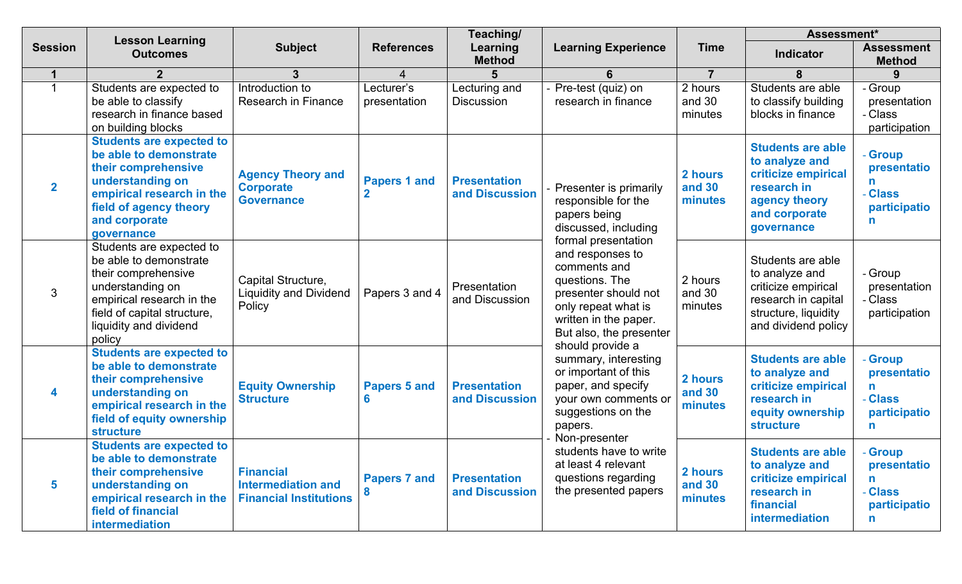|                      |                                                                                                                                                                                               |                                                                                |                                    | Teaching/                             |                                                                                                                                                                              |                              | Assessment*                                                                                                                      |                                                                       |
|----------------------|-----------------------------------------------------------------------------------------------------------------------------------------------------------------------------------------------|--------------------------------------------------------------------------------|------------------------------------|---------------------------------------|------------------------------------------------------------------------------------------------------------------------------------------------------------------------------|------------------------------|----------------------------------------------------------------------------------------------------------------------------------|-----------------------------------------------------------------------|
| <b>Session</b>       | <b>Lesson Learning</b><br><b>Outcomes</b>                                                                                                                                                     | <b>Subject</b>                                                                 | <b>References</b>                  | Learning<br><b>Method</b>             | <b>Learning Experience</b>                                                                                                                                                   | <b>Time</b>                  | Indicator                                                                                                                        | <b>Assessment</b><br><b>Method</b>                                    |
| $\blacktriangleleft$ | $\mathbf{2}$                                                                                                                                                                                  | $3\phantom{a}$                                                                 | 4                                  |                                       | 6                                                                                                                                                                            | $\overline{7}$               | 8                                                                                                                                |                                                                       |
| $\mathbf 1$          | Students are expected to<br>be able to classify<br>research in finance based<br>on building blocks                                                                                            | Introduction to<br><b>Research in Finance</b>                                  | Lecturer's<br>presentation         | Lecturing and<br>Discussion           | Pre-test (quiz) on<br>research in finance                                                                                                                                    | 2 hours<br>and 30<br>minutes | Students are able<br>to classify building<br>blocks in finance                                                                   | - Group<br>presentation<br>- Class<br>participation                   |
| $\overline{2}$       | <b>Students are expected to</b><br>be able to demonstrate<br>their comprehensive<br>understanding on<br>empirical research in the<br>field of agency theory<br>and corporate<br>governance    | <b>Agency Theory and</b><br><b>Corporate</b><br><b>Governance</b>              | <b>Papers 1 and</b><br>$\mathbf 2$ | <b>Presentation</b><br>and Discussion | Presenter is primarily<br>responsible for the<br>papers being<br>discussed, including                                                                                        | 2 hours<br>and 30<br>minutes | <b>Students are able</b><br>to analyze and<br>criticize empirical<br>research in<br>agency theory<br>and corporate<br>governance | - Group<br>presentatio<br>n.<br>- Class<br>participatio<br>n.         |
| 3                    | Students are expected to<br>be able to demonstrate<br>their comprehensive<br>understanding on<br>empirical research in the<br>field of capital structure,<br>liquidity and dividend<br>policy | Capital Structure,<br><b>Liquidity and Dividend</b><br>Policy                  | Papers 3 and 4                     | Presentation<br>and Discussion        | formal presentation<br>and responses to<br>comments and<br>questions. The<br>presenter should not<br>only repeat what is<br>written in the paper.<br>But also, the presenter | 2 hours<br>and 30<br>minutes | Students are able<br>to analyze and<br>criticize empirical<br>research in capital<br>structure, liquidity<br>and dividend policy | - Group<br>presentation<br>- Class<br>participation                   |
| 4                    | <b>Students are expected to</b><br>be able to demonstrate<br>their comprehensive<br>understanding on<br>empirical research in the<br>field of equity ownership<br><b>structure</b>            | <b>Equity Ownership</b><br><b>Structure</b>                                    | <b>Papers 5 and</b><br>6           | <b>Presentation</b><br>and Discussion | should provide a<br>summary, interesting<br>or important of this<br>paper, and specify<br>your own comments or<br>suggestions on the<br>papers.                              | 2 hours<br>and 30<br>minutes | <b>Students are able</b><br>to analyze and<br>criticize empirical<br>research in<br>equity ownership<br><b>structure</b>         | <b>Group</b><br>presentatio<br>n.<br>- Class<br>participatio<br>n     |
| 5                    | <b>Students are expected to</b><br>be able to demonstrate<br>their comprehensive<br>understanding on<br>empirical research in the<br>field of financial<br>intermediation                     | <b>Financial</b><br><b>Intermediation and</b><br><b>Financial Institutions</b> | <b>Papers 7 and</b><br>8           | <b>Presentation</b><br>and Discussion | Non-presenter<br>students have to write<br>at least 4 relevant<br>questions regarding<br>the presented papers                                                                | 2 hours<br>and 30<br>minutes | <b>Students are able</b><br>to analyze and<br>criticize empirical<br>research in<br>financial<br>intermediation                  | <b>Group</b><br>presentatio<br>n<br><b>Class</b><br>participatio<br>n |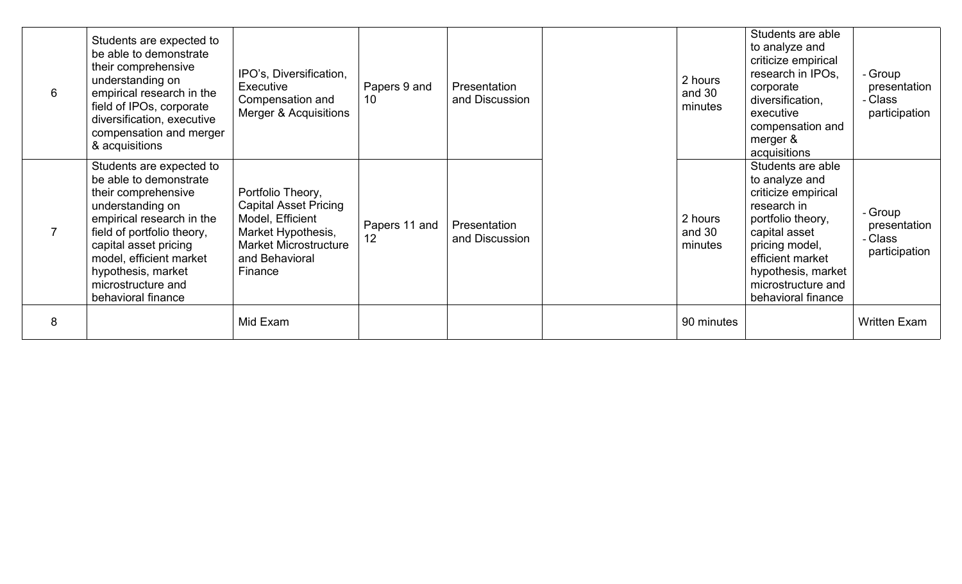| 6              | Students are expected to<br>be able to demonstrate<br>their comprehensive<br>understanding on<br>empirical research in the<br>field of IPOs, corporate<br>diversification, executive<br>compensation and merger<br>& acquisitions                                              | IPO's, Diversification,<br>Executive<br>Compensation and<br>Merger & Acquisitions                                                                        | Papers 9 and<br>10              | Presentation<br>and Discussion | 2 hours<br>and 30<br>minutes | Students are able<br>to analyze and<br>criticize empirical<br>research in IPOs,<br>corporate<br>diversification,<br>executive<br>compensation and<br>merger &<br>acquisitions                                           | - Group<br>presentation<br>- Class<br>participation |
|----------------|--------------------------------------------------------------------------------------------------------------------------------------------------------------------------------------------------------------------------------------------------------------------------------|----------------------------------------------------------------------------------------------------------------------------------------------------------|---------------------------------|--------------------------------|------------------------------|-------------------------------------------------------------------------------------------------------------------------------------------------------------------------------------------------------------------------|-----------------------------------------------------|
| $\overline{7}$ | Students are expected to<br>be able to demonstrate<br>their comprehensive<br>understanding on<br>empirical research in the<br>field of portfolio theory,<br>capital asset pricing<br>model, efficient market<br>hypothesis, market<br>microstructure and<br>behavioral finance | Portfolio Theory,<br><b>Capital Asset Pricing</b><br>Model, Efficient<br>Market Hypothesis,<br><b>Market Microstructure</b><br>and Behavioral<br>Finance | Papers 11 and<br>$12^{\degree}$ | Presentation<br>and Discussion | 2 hours<br>and 30<br>minutes | Students are able<br>to analyze and<br>criticize empirical<br>research in<br>portfolio theory,<br>capital asset<br>pricing model,<br>efficient market<br>hypothesis, market<br>microstructure and<br>behavioral finance | - Group<br>presentation<br>- Class<br>participation |
| 8              |                                                                                                                                                                                                                                                                                | Mid Exam                                                                                                                                                 |                                 |                                | 90 minutes                   |                                                                                                                                                                                                                         | Written Exam                                        |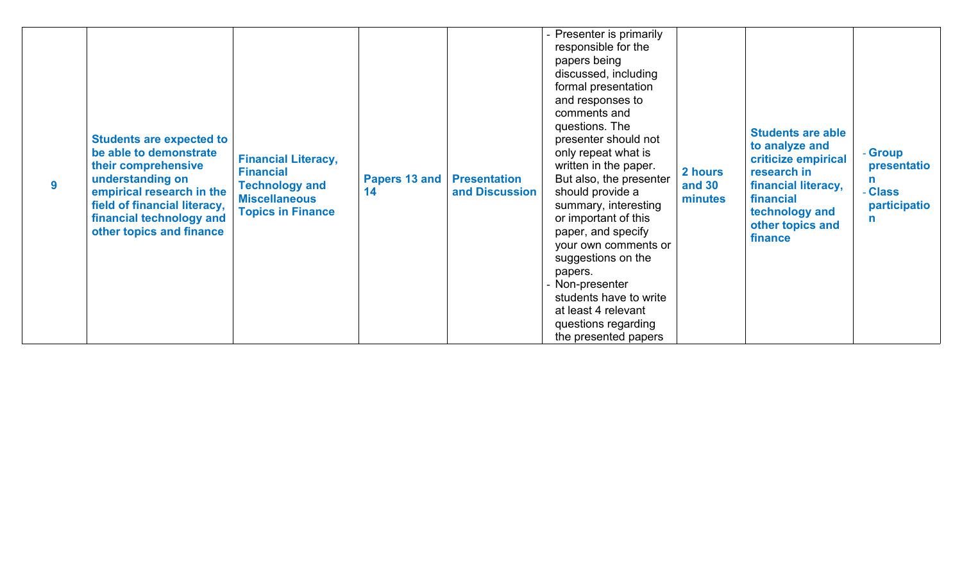| 9 | <b>Students are expected to</b><br>be able to demonstrate<br>their comprehensive<br>understanding on<br>empirical research in the<br>field of financial literacy,<br>financial technology and<br>other topics and finance | <b>Financial Literacy,</b><br><b>Financial</b><br><b>Technology and</b><br><b>Miscellaneous</b><br><b>Topics in Finance</b> | <b>Papers 13 and   Presentation</b><br>14 | and Discussion | Presenter is primarily<br>responsible for the<br>papers being<br>discussed, including<br>formal presentation<br>and responses to<br>comments and<br>questions. The<br>presenter should not<br>only repeat what is<br>written in the paper.<br>But also, the presenter<br>should provide a<br>summary, interesting<br>or important of this<br>paper, and specify<br>your own comments or<br>suggestions on the<br>papers.<br>Non-presenter<br>students have to write<br>at least 4 relevant<br>questions regarding<br>the presented papers | 2 hours<br><b>and 30</b><br>minutes | <b>Students are able</b><br>to analyze and<br>criticize empirical<br>research in<br>financial literacy,<br>financial<br>technology and<br>other topics and<br>finance | - Group<br>presentatio<br>n.<br>- Class<br>participatio<br>$\mathsf{n}$ |
|---|---------------------------------------------------------------------------------------------------------------------------------------------------------------------------------------------------------------------------|-----------------------------------------------------------------------------------------------------------------------------|-------------------------------------------|----------------|-------------------------------------------------------------------------------------------------------------------------------------------------------------------------------------------------------------------------------------------------------------------------------------------------------------------------------------------------------------------------------------------------------------------------------------------------------------------------------------------------------------------------------------------|-------------------------------------|-----------------------------------------------------------------------------------------------------------------------------------------------------------------------|-------------------------------------------------------------------------|